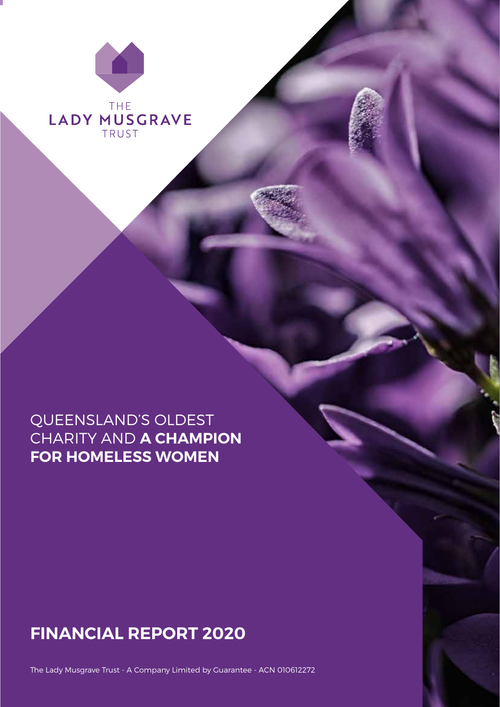

## QUEENSLAND'S OLDEST CHARITY AND **A CHAMPION FOR HOMELESS WOMEN**

# **FINANCIAL REPORT 2020**

1 The Lady Musgrave Trust 1 Financial Report 2020

The Lady Musgrave Trust - A Company Limited by Guarantee - ACN 010612272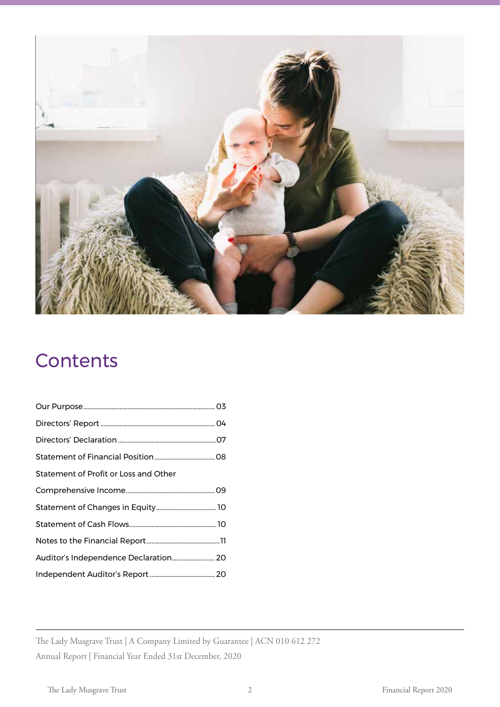

# **Contents**

| Statement of Profit or Loss and Other |
|---------------------------------------|
|                                       |
|                                       |
|                                       |
|                                       |
| Auditor's Independence Declaration 20 |
|                                       |

The Lady Musgrave Trust | A Company Limited by Guarantee | ACN 010 612 272 Annual Report | Financial Year Ended 31st December, 2020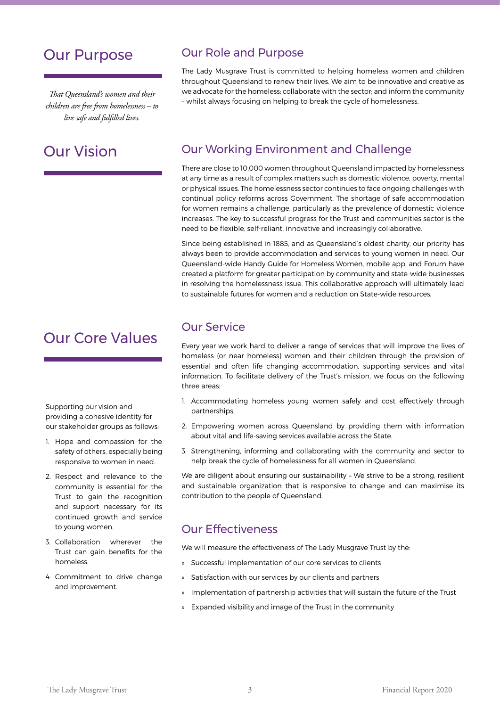## Our Purpose

*That Queensland's women and their children are free from homelessness – to live safe and fulfilled lives.* 

## Our Vision

## Our Core Values

Supporting our vision and providing a cohesive identity for our stakeholder groups as follows:

- 1. Hope and compassion for the safety of others, especially being responsive to women in need.
- 2. Respect and relevance to the community is essential for the Trust to gain the recognition and support necessary for its continued growth and service to young women.
- 3. Collaboration wherever the Trust can gain benefits for the homeless.
- 4. Commitment to drive change and improvement.

## Our Role and Purpose

The Lady Musgrave Trust is committed to helping homeless women and children throughout Queensland to renew their lives. We aim to be innovative and creative as we advocate for the homeless; collaborate with the sector; and inform the community – whilst always focusing on helping to break the cycle of homelessness.

## Our Working Environment and Challenge

There are close to 10,000 women throughout Queensland impacted by homelessness at any time as a result of complex matters such as domestic violence, poverty, mental or physical issues. The homelessness sector continues to face ongoing challenges with continual policy reforms across Government. The shortage of safe accommodation for women remains a challenge, particularly as the prevalence of domestic violence increases. The key to successful progress for the Trust and communities sector is the need to be flexible, self-reliant, innovative and increasingly collaborative.

Since being established in 1885, and as Queensland's oldest charity, our priority has always been to provide accommodation and services to young women in need. Our Queensland-wide Handy Guide for Homeless Women, mobile app, and Forum have created a platform for greater participation by community and state-wide businesses in resolving the homelessness issue. This collaborative approach will ultimately lead to sustainable futures for women and a reduction on State-wide resources.

### Our Service

Every year we work hard to deliver a range of services that will improve the lives of homeless (or near homeless) women and their children through the provision of essential and often life changing accommodation, supporting services and vital information. To facilitate delivery of the Trust's mission, we focus on the following three areas:

- 1. Accommodating homeless young women safely and cost effectively through partnerships;
- 2. Empowering women across Queensland by providing them with information about vital and life-saving services available across the State.
- 3. Strengthening, informing and collaborating with the community and sector to help break the cycle of homelessness for all women in Queensland.

We are diligent about ensuring our sustainability - We strive to be a strong, resilient and sustainable organization that is responsive to change and can maximise its contribution to the people of Queensland.

### Our Effectiveness

We will measure the effectiveness of The Lady Musgrave Trust by the:

- » Successful implementation of our core services to clients
- Satisfaction with our services by our clients and partners
- » Implementation of partnership activities that will sustain the future of the Trust
- » Expanded visibility and image of the Trust in the community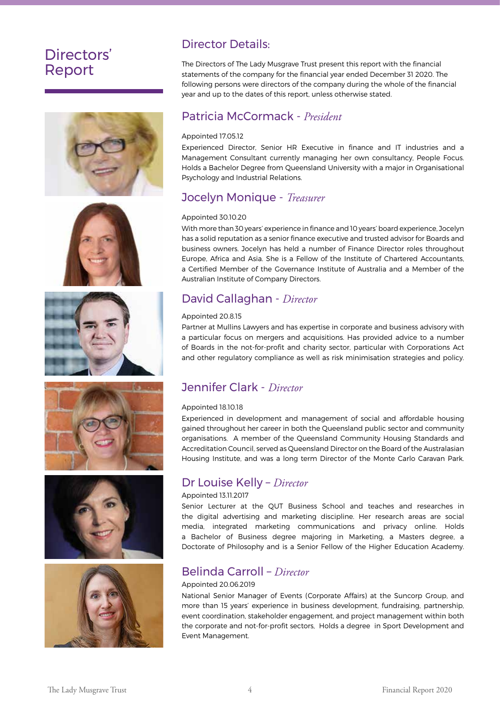## Directors' Report













## Director Details:

The Directors of The Lady Musgrave Trust present this report with the financial statements of the company for the financial year ended December 31 2020. The following persons were directors of the company during the whole of the financial year and up to the dates of this report, unless otherwise stated.

### Patricia McCormack - *President*

#### Appointed 17.05.12

Experienced Director, Senior HR Executive in finance and IT industries and a Management Consultant currently managing her own consultancy, People Focus. Holds a Bachelor Degree from Queensland University with a major in Organisational Psychology and Industrial Relations.

## Jocelyn Monique - *Treasurer*

#### Appointed 30.10.20

With more than 30 years' experience in finance and 10 years' board experience, Jocelyn has a solid reputation as a senior finance executive and trusted advisor for Boards and business owners. Jocelyn has held a number of Finance Director roles throughout Europe, Africa and Asia. She is a Fellow of the Institute of Chartered Accountants, a Certified Member of the Governance Institute of Australia and a Member of the Australian Institute of Company Directors.

## David Callaghan - *Director*

#### Appointed 20.8.15

Partner at Mullins Lawyers and has expertise in corporate and business advisory with a particular focus on mergers and acquisitions. Has provided advice to a number of Boards in the not-for-profit and charity sector, particular with Corporations Act and other regulatory compliance as well as risk minimisation strategies and policy.

## Jennifer Clark - *Director*

#### Appointed 18.10.18

Experienced in development and management of social and affordable housing gained throughout her career in both the Queensland public sector and community organisations. A member of the Queensland Community Housing Standards and Accreditation Council, served as Queensland Director on the Board of the Australasian Housing Institute, and was a long term Director of the Monte Carlo Caravan Park.

### Dr Louise Kelly – *Director*

#### Appointed 13.11.2017

Senior Lecturer at the QUT Business School and teaches and researches in the digital advertising and marketing discipline. Her research areas are social media, integrated marketing communications and privacy online. Holds a Bachelor of Business degree majoring in Marketing, a Masters degree, a Doctorate of Philosophy and is a Senior Fellow of the Higher Education Academy.

### Belinda Carroll – *Director*

#### Appointed 20.06.2019

National Senior Manager of Events (Corporate Affairs) at the Suncorp Group, and more than 15 years' experience in business development, fundraising, partnership, event coordination, stakeholder engagement, and project management within both the corporate and not-for-profit sectors, Holds a degree in Sport Development and Event Management.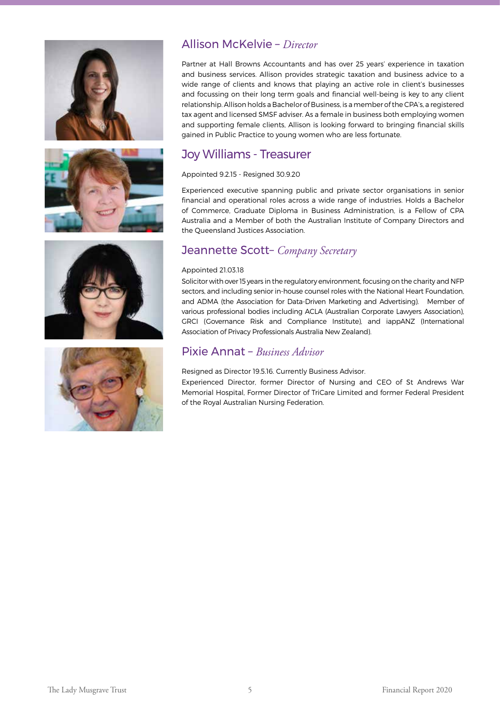







## Allison McKelvie – *Director*

Partner at Hall Browns Accountants and has over 25 years' experience in taxation and business services. Allison provides strategic taxation and business advice to a wide range of clients and knows that playing an active role in client's businesses and focussing on their long term goals and financial well-being is key to any client relationship. Allison holds a Bachelor of Business, is a member of the CPA's, a registered tax agent and licensed SMSF adviser. As a female in business both employing women and supporting female clients, Allison is looking forward to bringing financial skills gained in Public Practice to young women who are less fortunate.

## Joy Williams - Treasurer

#### Appointed 9.2.15 - Resigned 30.9.20

Experienced executive spanning public and private sector organisations in senior financial and operational roles across a wide range of industries. Holds a Bachelor of Commerce, Graduate Diploma in Business Administration, is a Fellow of CPA Australia and a Member of both the Australian Institute of Company Directors and the Queensland Justices Association.

## Jeannette Scott– *Company Secretary*

#### Appointed 21.03.18

Solicitor with over 15 years in the regulatory environment, focusing on the charity and NFP sectors, and including senior in-house counsel roles with the National Heart Foundation, and ADMA (the Association for Data-Driven Marketing and Advertising). Member of various professional bodies including ACLA (Australian Corporate Lawyers Association), GRCI (Governance Risk and Compliance Institute), and iappANZ (International Association of Privacy Professionals Australia New Zealand).

### Pixie Annat – *Business Advisor*

#### Resigned as Director 19.5.16. Currently Business Advisor.

Experienced Director, former Director of Nursing and CEO of St Andrews War Memorial Hospital, Former Director of TriCare Limited and former Federal President of the Royal Australian Nursing Federation.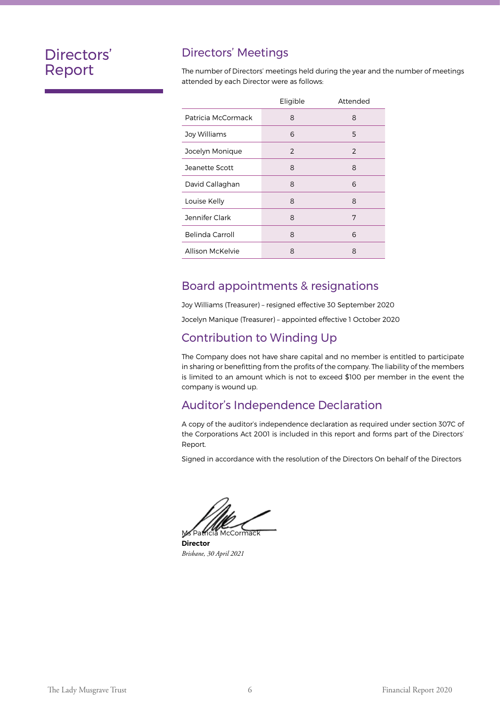## Directors' Report

### Directors' Meetings

The number of Directors' meetings held during the year and the number of meetings attended by each Director were as follows:

|                    | Eligible | Attended |
|--------------------|----------|----------|
| Patricia McCormack | 8        | 8        |
| Joy Williams       | 6        | 5        |
| Jocelyn Monique    | 2        | 2        |
| Jeanette Scott     | 8        | 8        |
| David Callaghan    | 8        | 6        |
| Louise Kelly       | 8        | 8        |
| Jennifer Clark     | 8        | 7        |
| Belinda Carroll    | 8        | 6        |
| Allison McKelvie   | 8        | 8        |

### Board appointments & resignations

Joy Williams (Treasurer) – resigned effective 30 September 2020

Jocelyn Manique (Treasurer) – appointed effective 1 October 2020

### Contribution to Winding Up

The Company does not have share capital and no member is entitled to participate in sharing or benefitting from the profits of the company. The liability of the members is limited to an amount which is not to exceed \$100 per member in the event the company is wound up.

### Auditor's Independence Declaration

A copy of the auditor's independence declaration as required under section 307C of the Corporations Act 2001 is included in this report and forms part of the Directors' Report.

Signed in accordance with the resolution of the Directors On behalf of the Directors

Ms Patricia McCormack

**Director** *Brisbane, 30 April 2021*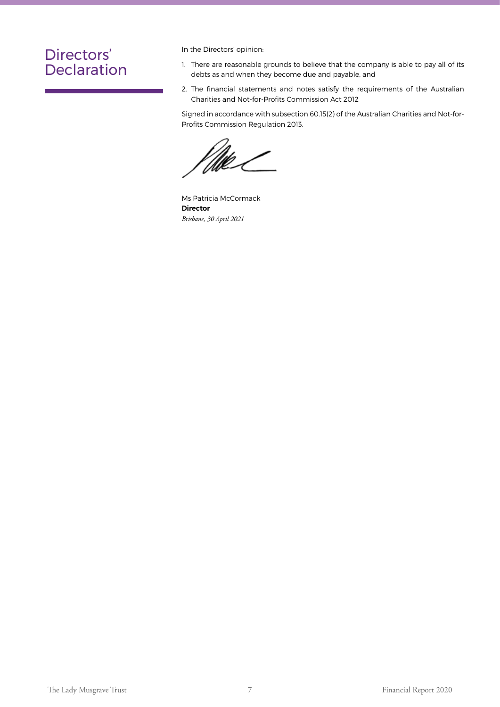## Directors' Declaration

In the Directors' opinion:

- 1. There are reasonable grounds to believe that the company is able to pay all of its debts as and when they become due and payable, and
- 2. The financial statements and notes satisfy the requirements of the Australian Charities and Not-for-Profits Commission Act 2012

Signed in accordance with subsection 60.15(2) of the Australian Charities and Not-for-Profits Commission Regulation 2013.

Ms Patricia McCormack **Director** *Brisbane, 30 April 2021*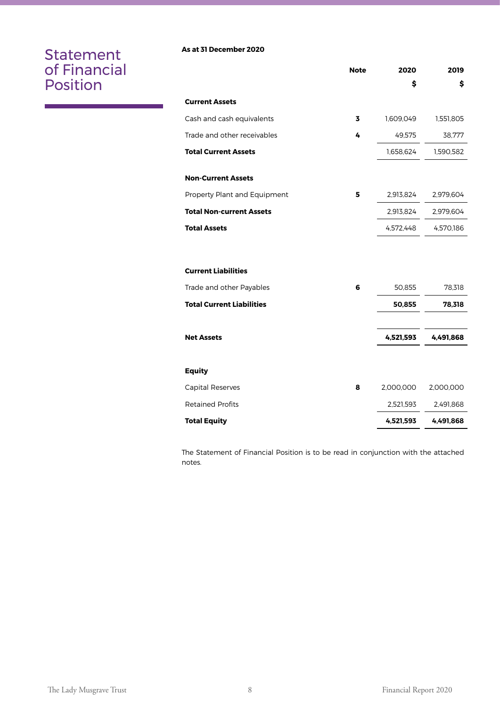## Statement of Financial Position

#### **As at 31 December 2020**

|                                  | <b>Note</b> | 2020      | 2019      |
|----------------------------------|-------------|-----------|-----------|
|                                  |             | \$        | \$        |
| <b>Current Assets</b>            |             |           |           |
| Cash and cash equivalents        | 3           | 1,609,049 | 1,551,805 |
| Trade and other receivables      | 4           | 49,575    | 38,777    |
| <b>Total Current Assets</b>      |             | 1,658,624 | 1,590,582 |
| <b>Non-Current Assets</b>        |             |           |           |
| Property Plant and Equipment     | 5           | 2,913,824 | 2,979,604 |
| <b>Total Non-current Assets</b>  |             | 2,913,824 | 2,979,604 |
| <b>Total Assets</b>              |             | 4,572,448 | 4,570,186 |
| <b>Current Liabilities</b>       |             |           |           |
| Trade and other Payables         | 6           | 50,855    | 78,318    |
| <b>Total Current Liabilities</b> |             |           |           |
|                                  |             | 50,855    | 78,318    |
| <b>Net Assets</b>                |             | 4,521,593 | 4,491,868 |
|                                  |             |           |           |
| Equity                           |             |           |           |
| <b>Capital Reserves</b>          | 8           | 2,000,000 | 2,000,000 |
| <b>Retained Profits</b>          |             | 2,521,593 | 2,491,868 |
| <b>Total Equity</b>              |             | 4,521,593 | 4,491,868 |

The Statement of Financial Position is to be read in conjunction with the attached notes.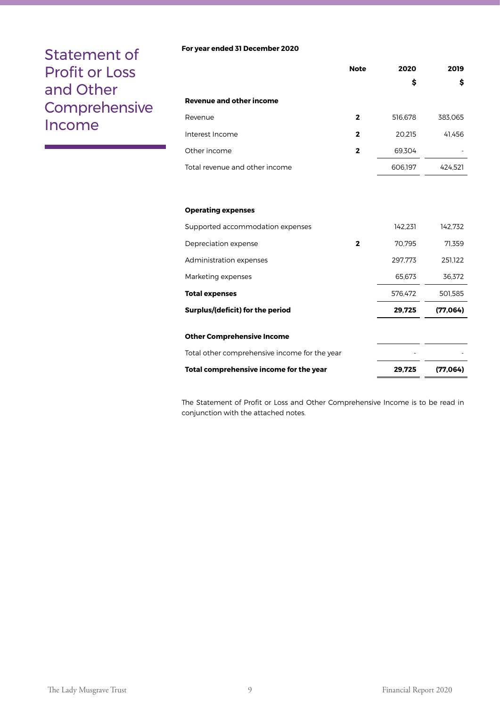## Statement of Profit or Loss and Other **Comprehensive** Income

#### **For year ended 31 December 2020**

|                                 | <b>Note</b>  | 2020    | 2019    |
|---------------------------------|--------------|---------|---------|
|                                 |              | \$      | \$      |
| <b>Revenue and other income</b> |              |         |         |
| Revenue                         | $\mathbf{2}$ | 516,678 | 383,065 |
| Interest Income                 | 2            | 20,215  | 41,456  |
| Other income                    | 2            | 69.304  |         |
| Total revenue and other income  |              | 606,197 | 424.521 |

#### **Operating expenses**

| Supported accommodation expenses              |   | 142.231 | 142.732  |
|-----------------------------------------------|---|---------|----------|
| Depreciation expense                          | 2 | 70.795  | 71.359   |
| Administration expenses                       |   | 297.773 | 251.122  |
| Marketing expenses                            |   | 65.673  | 36.372   |
| <b>Total expenses</b>                         |   | 576.472 | 501.585  |
| Surplus/(deficit) for the period              |   | 29,725  | (77,064) |
| <b>Other Comprehensive Income</b>             |   |         |          |
| Total other comprehensive income for the year |   |         |          |
| Total comprehensive income for the year       |   | 29.725  | (77,064) |

The Statement of Profit or Loss and Other Comprehensive Income is to be read in conjunction with the attached notes.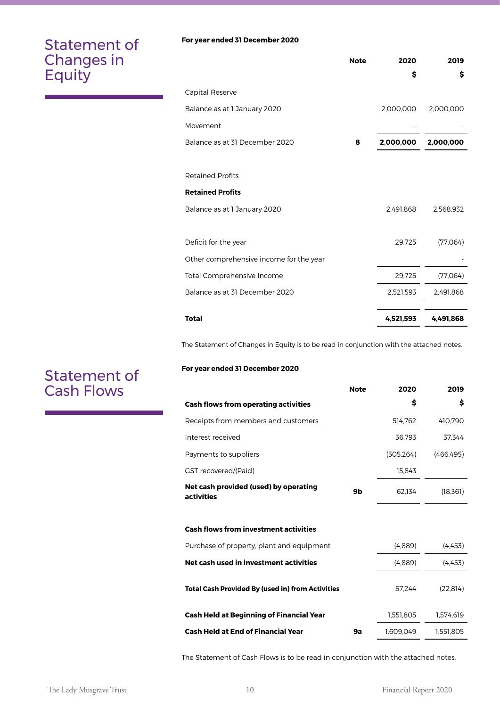## Statement of Changes in Equity

Statement of Cash Flows

#### **For year ended 31 December 2020**

|                                         | <b>Note</b> | 2020      | 2019      |
|-----------------------------------------|-------------|-----------|-----------|
|                                         |             | \$        | \$        |
| Capital Reserve                         |             |           |           |
| Balance as at 1 January 2020            |             | 2,000,000 | 2,000,000 |
| Movement                                |             |           |           |
| Balance as at 31 December 2020          | 8           | 2,000,000 | 2,000,000 |
|                                         |             |           |           |
| <b>Retained Profits</b>                 |             |           |           |
| <b>Retained Profits</b>                 |             |           |           |
| Balance as at 1 January 2020            |             | 2,491,868 | 2,568,932 |
|                                         |             |           |           |
| Deficit for the year                    |             | 29,725    | (77,064)  |
| Other comprehensive income for the year |             |           |           |
| Total Comprehensive Income              |             | 29,725    | (77,064)  |
| Balance as at 31 December 2020          |             | 2,521,593 | 2,491,868 |
|                                         |             |           |           |
| <b>Total</b>                            |             | 4,521,593 | 4,491,868 |

The Statement of Changes in Equity is to be read in conjunction with the attached notes.

#### **For year ended 31 December 2020**

|                                                         | <b>Note</b> | 2020       | 2019       |
|---------------------------------------------------------|-------------|------------|------------|
| <b>Cash flows from operating activities</b>             |             | \$         | \$         |
| Receipts from members and customers                     |             | 514,762    | 410,790    |
| Interest received                                       |             | 36,793     | 37.344     |
| Payments to suppliers                                   |             | (505, 264) | (466, 495) |
| <b>GST</b> recovered/(Paid)                             |             | 15,843     |            |
| Net cash provided (used) by operating<br>activities     | 9b          | 62.134     | (18,361)   |
| <b>Cash flows from investment activities</b>            |             |            |            |
| Purchase of property, plant and equipment               |             | (4,889)    | (4, 453)   |
| Net cash used in investment activities                  |             | (4,889)    | (4, 453)   |
| <b>Total Cash Provided By (used in) from Activities</b> |             | 57.244     | (22, 814)  |
| <b>Cash Held at Beginning of Financial Year</b>         |             | 1,551,805  | 1,574,619  |
| <b>Cash Held at End of Financial Year</b>               | 9а          | 1,609,049  | 1,551,805  |

The Statement of Cash Flows is to be read in conjunction with the attached notes.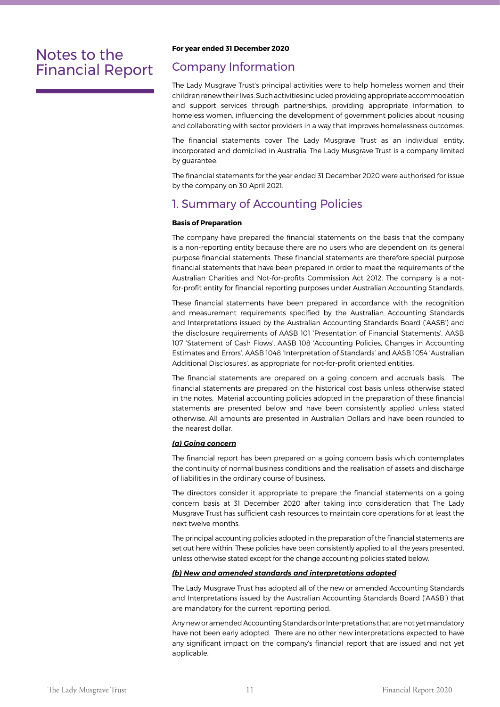## Notes to the Financial Report

#### **For year ended 31 December 2020**

### Company Information

The Lady Musgrave Trust's principal activities were to help homeless women and their children renew their lives. Such activities included providing appropriate accommodation and support services through partnerships, providing appropriate information to homeless women, influencing the development of government policies about housing and collaborating with sector providers in a way that improves homelessness outcomes.

The financial statements cover The Lady Musgrave Trust as an individual entity, incorporated and domiciled in Australia. The Lady Musgrave Trust is a company limited by guarantee.

The financial statements for the year ended 31 December 2020 were authorised for issue by the company on 30 April 2021.

### 1. Summary of Accounting Policies

#### **Basis of Preparation**

The company have prepared the financial statements on the basis that the company is a non-reporting entity because there are no users who are dependent on its general purpose financial statements. These financial statements are therefore special purpose financial statements that have been prepared in order to meet the requirements of the Australian Charities and Not-for-profits Commission Act 2012. The company is a notfor-profit entity for financial reporting purposes under Australian Accounting Standards.

These financial statements have been prepared in accordance with the recognition and measurement requirements specified by the Australian Accounting Standards and Interpretations issued by the Australian Accounting Standards Board ('AASB') and the disclosure requirements of AASB 101 'Presentation of Financial Statements', AASB 107 'Statement of Cash Flows', AASB 108 'Accounting Policies, Changes in Accounting Estimates and Errors', AASB 1048 'Interpretation of Standards' and AASB 1054 'Australian Additional Disclosures', as appropriate for not-for-profit oriented entities.

The financial statements are prepared on a going concern and accruals basis. The financial statements are prepared on the historical cost basis unless otherwise stated in the notes. Material accounting policies adopted in the preparation of these financial statements are presented below and have been consistently applied unless stated otherwise. All amounts are presented in Australian Dollars and have been rounded to the nearest dollar.

#### *(a) Going concern*

The financial report has been prepared on a going concern basis which contemplates the continuity of normal business conditions and the realisation of assets and discharge of liabilities in the ordinary course of business.

The directors consider it appropriate to prepare the financial statements on a going concern basis at 31 December 2020 after taking into consideration that The Lady Musgrave Trust has sufficient cash resources to maintain core operations for at least the next twelve months.

The principal accounting policies adopted in the preparation of the financial statements are set out here within. These policies have been consistently applied to all the years presented, unless otherwise stated except for the change accounting policies stated below.

#### *(b) New and amended standards and interpretations adopted*

The Lady Musgrave Trust has adopted all of the new or amended Accounting Standards and Interpretations issued by the Australian Accounting Standards Board ('AASB') that are mandatory for the current reporting period.

Any new or amended Accounting Standards or Interpretations that are not yet mandatory have not been early adopted. There are no other new interpretations expected to have any significant impact on the company's financial report that are issued and not yet applicable.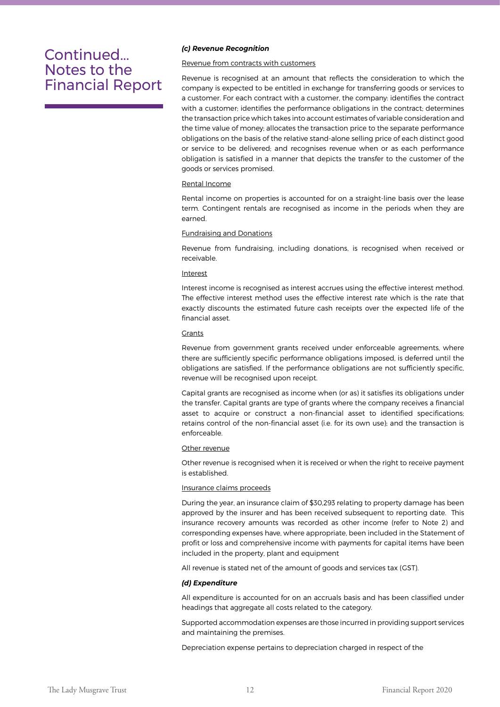#### *(c) Revenue Recognition*

#### Revenue from contracts with customers

Revenue is recognised at an amount that reflects the consideration to which the company is expected to be entitled in exchange for transferring goods or services to a customer. For each contract with a customer, the company: identifies the contract with a customer; identifies the performance obligations in the contract; determines the transaction price which takes into account estimates of variable consideration and the time value of money; allocates the transaction price to the separate performance obligations on the basis of the relative stand-alone selling price of each distinct good or service to be delivered; and recognises revenue when or as each performance obligation is satisfied in a manner that depicts the transfer to the customer of the goods or services promised.

#### Rental Income

Rental income on properties is accounted for on a straight-line basis over the lease term. Contingent rentals are recognised as income in the periods when they are earned.

#### Fundraising and Donations

Revenue from fundraising, including donations, is recognised when received or receivable.

#### Interest

Interest income is recognised as interest accrues using the effective interest method. The effective interest method uses the effective interest rate which is the rate that exactly discounts the estimated future cash receipts over the expected life of the financial asset.

#### Grants

Revenue from government grants received under enforceable agreements, where there are sufficiently specific performance obligations imposed, is deferred until the obligations are satisfied. If the performance obligations are not sufficiently specific, revenue will be recognised upon receipt.

Capital grants are recognised as income when (or as) it satisfies its obligations under the transfer. Capital grants are type of grants where the company receives a financial asset to acquire or construct a non-financial asset to identified specifications; retains control of the non-financial asset (i.e. for its own use); and the transaction is enforceable.

#### Other revenue

Other revenue is recognised when it is received or when the right to receive payment is established.

#### Insurance claims proceeds

During the year, an insurance claim of \$30,293 relating to property damage has been approved by the insurer and has been received subsequent to reporting date. This insurance recovery amounts was recorded as other income (refer to Note 2) and corresponding expenses have, where appropriate, been included in the Statement of profit or loss and comprehensive income with payments for capital items have been included in the property, plant and equipment

All revenue is stated net of the amount of goods and services tax (GST).

#### *(d) Expenditure*

All expenditure is accounted for on an accruals basis and has been classified under headings that aggregate all costs related to the category.

Supported accommodation expenses are those incurred in providing support services and maintaining the premises.

Depreciation expense pertains to depreciation charged in respect of the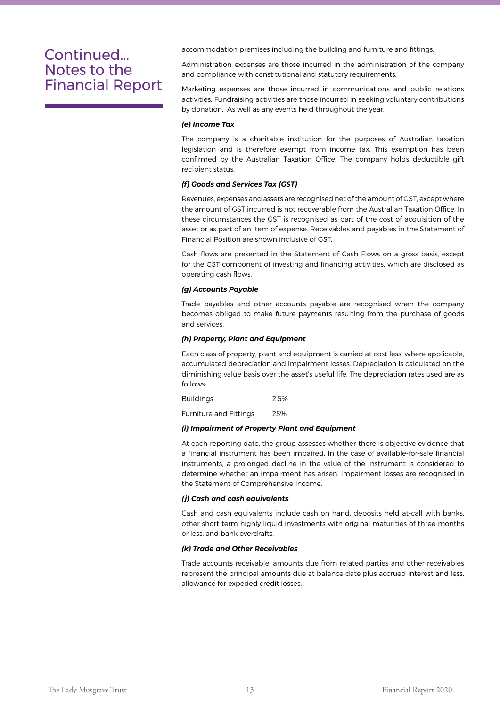accommodation premises including the building and furniture and fittings.

Administration expenses are those incurred in the administration of the company and compliance with constitutional and statutory requirements.

Marketing expenses are those incurred in communications and public relations activities. Fundraising activities are those incurred in seeking voluntary contributions by donation. As well as any events held throughout the year.

#### *(e) Income Tax*

The company is a charitable institution for the purposes of Australian taxation legislation and is therefore exempt from income tax. This exemption has been confirmed by the Australian Taxation Office. The company holds deductible gift recipient status.

#### *(f) Goods and Services Tax (GST)*

Revenues, expenses and assets are recognised net of the amount of GST, except where the amount of GST incurred is not recoverable from the Australian Taxation Office. In these circumstances the GST is recognised as part of the cost of acquisition of the asset or as part of an item of expense. Receivables and payables in the Statement of Financial Position are shown inclusive of GST.

Cash flows are presented in the Statement of Cash Flows on a gross basis, except for the GST component of investing and financing activities, which are disclosed as operating cash flows.

#### *(g) Accounts Payable*

Trade payables and other accounts payable are recognised when the company becomes obliged to make future payments resulting from the purchase of goods and services.

#### *(h) Property, Plant and Equipment*

Each class of property, plant and equipment is carried at cost less, where applicable, accumulated depreciation and impairment losses. Depreciation is calculated on the diminishing value basis over the asset's useful life. The depreciation rates used are as follows:

Buildings 2.5%

Furniture and Fittings 25%

#### *(i) Impairment of Property Plant and Equipment*

At each reporting date, the group assesses whether there is objective evidence that a financial instrument has been impaired. In the case of available-for-sale financial instruments, a prolonged decline in the value of the instrument is considered to determine whether an impairment has arisen. Impairment losses are recognised in the Statement of Comprehensive Income.

#### *(j) Cash and cash equivalents*

Cash and cash equivalents include cash on hand, deposits held at-call with banks, other short-term highly liquid investments with original maturities of three months or less, and bank overdrafts.

#### *(k) Trade and Other Receivables*

Trade accounts receivable, amounts due from related parties and other receivables represent the principal amounts due at balance date plus accrued interest and less, allowance for expeded credit losses.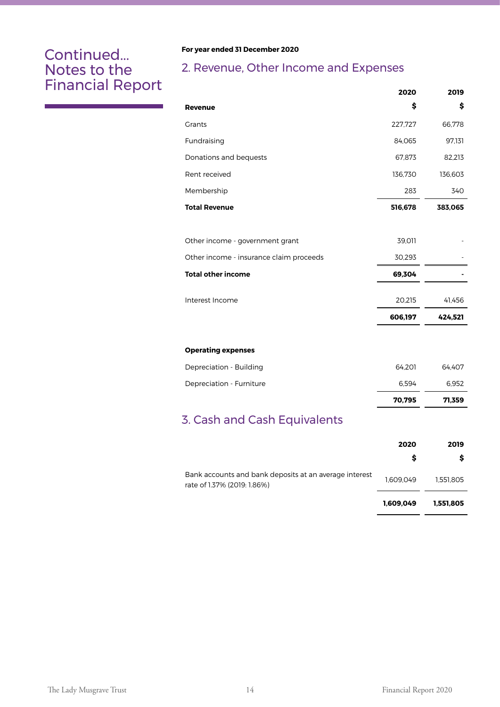#### **For year ended 31 December 2020**

## 2. Revenue, Other Income and Expenses

|                                         | 2020    | 2019    |
|-----------------------------------------|---------|---------|
| <b>Revenue</b>                          | \$      | \$      |
| <b>Grants</b>                           | 227,727 | 66,778  |
| Fundraising                             | 84,065  | 97,131  |
| Donations and bequests                  | 67,873  | 82,213  |
| Rent received                           | 136,730 | 136,603 |
| Membership                              | 283     | 340     |
| <b>Total Revenue</b>                    | 516,678 | 383,065 |
|                                         |         |         |
| Other income - government grant         | 39,011  |         |
| Other income - insurance claim proceeds | 30,293  |         |
| <b>Total other income</b>               | 69,304  |         |
|                                         |         |         |
| Interest Income                         | 20,215  | 41,456  |
|                                         | 606,197 | 424,521 |
|                                         |         |         |
| <b>Operating expenses</b>               |         |         |
| Depreciation - Building                 | 64,201  | 64,407  |
| Depreciation - Furniture                | 6,594   | 6,952   |
|                                         | 70,795  | 71,359  |

## 3. Cash and Cash Equivalents

|                                                                                       | 2020<br>s | 2019      |
|---------------------------------------------------------------------------------------|-----------|-----------|
| Bank accounts and bank deposits at an average interest<br>rate of 1.37% (2019: 1.86%) | 1.609.049 | 1.551.805 |
|                                                                                       | 1.609.049 | 1,551,805 |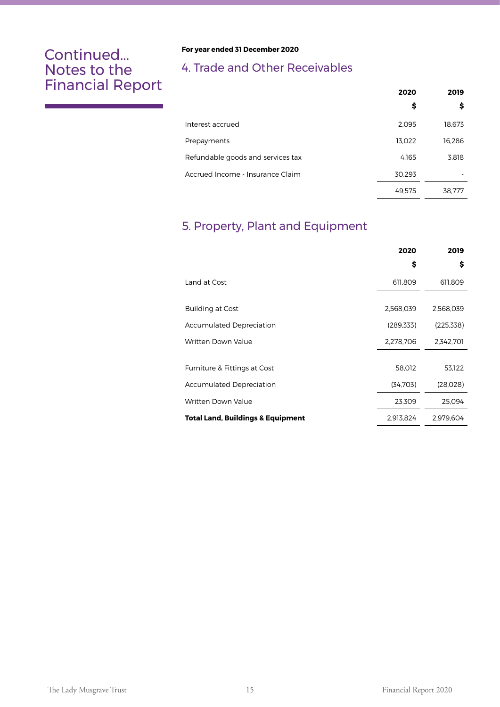#### **For year ended 31 December 2020**

## 4. Trade and Other Receivables

|                                   | 2020   | 2019   |
|-----------------------------------|--------|--------|
|                                   | \$     | \$     |
| Interest accrued                  | 2,095  | 18,673 |
| Prepayments                       | 13,022 | 16,286 |
| Refundable goods and services tax | 4.165  | 3,818  |
| Accrued Income - Insurance Claim  | 30,293 |        |
|                                   | 49.575 | 38.777 |

## 5. Property, Plant and Equipment

|                                              | 2020       | 2019       |
|----------------------------------------------|------------|------------|
|                                              | \$         | \$         |
| Land at Cost                                 | 611,809    | 611,809    |
|                                              |            |            |
| <b>Building at Cost</b>                      | 2,568,039  | 2,568,039  |
| <b>Accumulated Depreciation</b>              | (289, 333) | (225, 338) |
| Written Down Value                           | 2,278,706  | 2,342,701  |
|                                              |            |            |
| Furniture & Fittings at Cost                 | 58,012     | 53,122     |
| <b>Accumulated Depreciation</b>              | (34,703)   | (28,028)   |
| Written Down Value                           | 23,309     | 25,094     |
| <b>Total Land, Buildings &amp; Equipment</b> | 2,913,824  | 2.979.604  |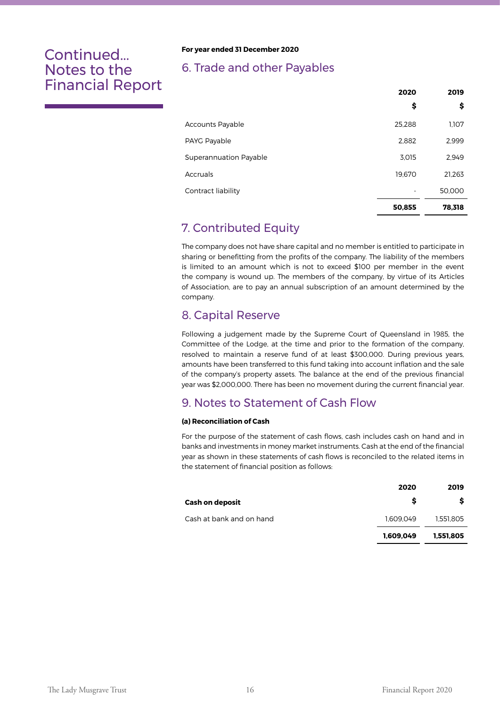#### **For year ended 31 December 2020**

### 6. Trade and other Payables

|                         | 2020   | 2019   |
|-------------------------|--------|--------|
|                         | \$     | \$     |
| <b>Accounts Payable</b> | 25,288 | 1,107  |
| PAYG Payable            | 2,882  | 2,999  |
| Superannuation Payable  | 3.015  | 2,949  |
| Accruals                | 19.670 | 21,263 |
| Contract liability      |        | 50,000 |
|                         | 50,855 | 78,318 |

## 7. Contributed Equity

The company does not have share capital and no member is entitled to participate in sharing or benefitting from the profits of the company. The liability of the members is limited to an amount which is not to exceed \$100 per member in the event the company is wound up. The members of the company, by virtue of its Articles of Association, are to pay an annual subscription of an amount determined by the company.

### 8. Capital Reserve

Following a judgement made by the Supreme Court of Queensland in 1985, the Committee of the Lodge, at the time and prior to the formation of the company, resolved to maintain a reserve fund of at least \$300,000. During previous years, amounts have been transferred to this fund taking into account inflation and the sale of the company's property assets. The balance at the end of the previous financial year was \$2,000,000. There has been no movement during the current financial year.

## 9. Notes to Statement of Cash Flow

#### **(a) Reconciliation of Cash**

For the purpose of the statement of cash flows, cash includes cash on hand and in banks and investments in money market instruments. Cash at the end of the financial year as shown in these statements of cash flows is reconciled to the related items in the statement of financial position as follows:

|                          | 2020      | 2019      |
|--------------------------|-----------|-----------|
| <b>Cash on deposit</b>   |           |           |
| Cash at bank and on hand | 1.609.049 | 1.551.805 |
|                          | 1.609.049 | 1,551,805 |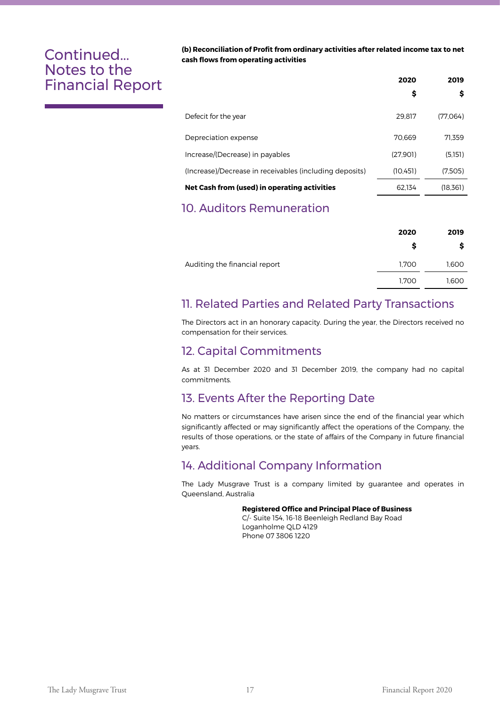**(b) Reconciliation of Profit from ordinary activities after related income tax to net cash flows from operating activities**

|                                                         | 2020      | 2019     |
|---------------------------------------------------------|-----------|----------|
|                                                         | \$        | \$       |
| Defecit for the year                                    | 29.817    | (77.064) |
| Depreciation expense                                    | 70.669    | 71.359   |
| Increase/(Decrease) in payables                         | (27.901)  | (5,151)  |
| (Increase)/Decrease in receivables (including deposits) | (10, 451) | (7,505)  |
| Net Cash from (used) in operating activities            | 62.134    | (18,361) |
|                                                         |           |          |

## 10. Auditors Remuneration

|                               | 2020  | 2019  |
|-------------------------------|-------|-------|
|                               | s     | s     |
| Auditing the financial report | 1,700 | 1,600 |
|                               | 1,700 | 1,600 |
|                               |       |       |

## 11. Related Parties and Related Party Transactions

The Directors act in an honorary capacity. During the year, the Directors received no compensation for their services.

### 12. Capital Commitments

As at 31 December 2020 and 31 December 2019, the company had no capital commitments.

## 13. Events After the Reporting Date

No matters or circumstances have arisen since the end of the financial year which significantly affected or may significantly affect the operations of the Company, the results of those operations, or the state of affairs of the Company in future financial years.

### 14. Additional Company Information

The Lady Musgrave Trust is a company limited by guarantee and operates in Queensland, Australia

#### **Registered Office and Principal Place of Business**

 C/- Suite 154, 16-18 Beenleigh Redland Bay Road Loganholme QLD 4129 Phone 07 3806 1220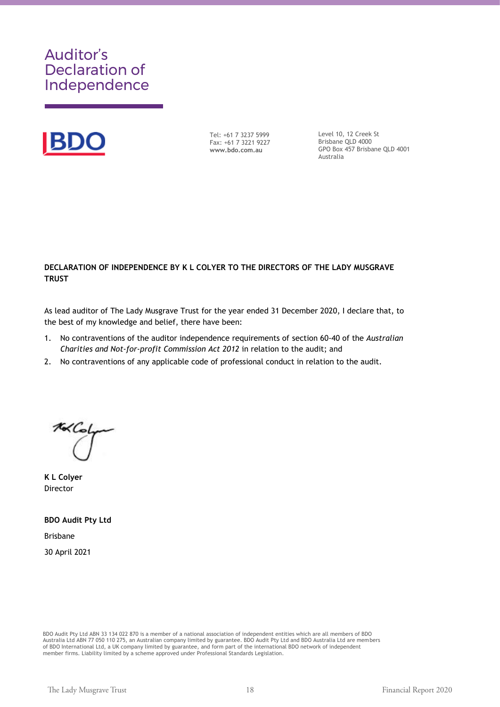## Auditor's Declaration of Independence



Tel: +61 7 3237 5999 Fax: +61 7 3221 9227 **www.bdo.com.au**

Level 10, 12 Creek St Brisbane QLD 4000 GPO Box 457 Brisbane QLD 4001 Australia

#### DECLARATION OF INDEPENDENCE BY K L COLYER TO THE DIRECTORS OF THE LADY MUSGRAVE **TRUST**

As lead auditor of The Lady Musgrave Trust for the year ended 31 December 2020, I declare that, to the best of my knowledge and belief, there have been:

- 1. No contraventions of the auditor independence requirements of section 60-40 of the *Australian Charities and Not-for-profit Commission Act 2012* in relation to the audit; and
- 2. No contraventions of any applicable code of professional conduct in relation to the audit.

 $\mathcal{L}$  $\cup$ 

**K L Colyer**  Director

**BDO Audit Pty Ltd** Brisbane 30 April 2021

BDO Audit Pty Ltd ABN 33 134 022 870 is a member of a national association of independent entities which are all members of BDO Australia Ltd ABN 77 050 110 275, an Australian company limited by guarantee. BDO Audit Pty Ltd and BDO Australia Ltd are members of BDO International Ltd, a UK company limited by guarantee, and form part of the international BDO network of independent<br>member firms. Liability limited by a scheme approved under Professional Standards Legislation.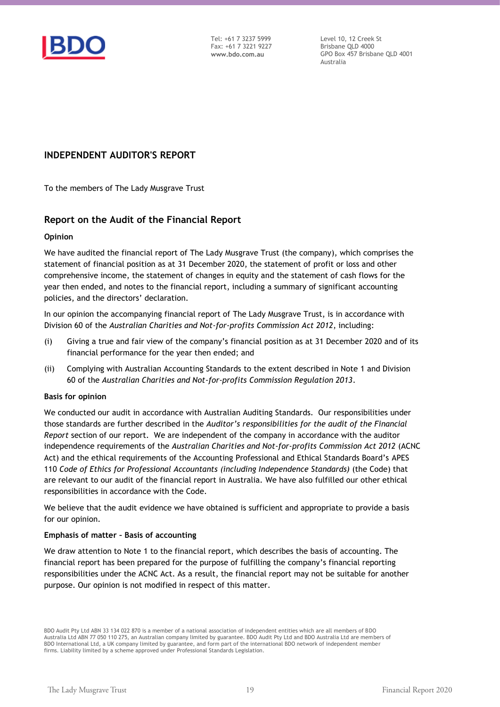

Tel: +61 7 3237 5999 Fax: +61 7 3221 9227 **www.bdo.com.au**

Level 10, 12 Creek St Brisbane QLD 4000 GPO Box 457 Brisbane QLD 4001 Australia

#### **INDEPENDENT AUDITOR'S REPORT**

To the members of The Lady Musgrave Trust

#### **Report on the Audit of the Financial Report**

#### **Opinion**

We have audited the financial report of The Lady Musgrave Trust (the company), which comprises the statement of financial position as at 31 December 2020, the statement of profit or loss and other comprehensive income, the statement of changes in equity and the statement of cash flows for the year then ended, and notes to the financial report, including a summary of significant accounting policies, and the directors' declaration.

In our opinion the accompanying financial report of The Lady Musgrave Trust, is in accordance with Division 60 of the *Australian Charities and Not-for-profits Commission Act 2012*, including:

- (i) Giving a true and fair view of the company's financial position as at 31 December 2020 and of its financial performance for the year then ended; and
- (ii) Complying with Australian Accounting Standards to the extent described in Note 1 and Division 60 of the *Australian Charities and Not-for-profits Commission Regulation 2013*.

#### **Basis for opinion**

We conducted our audit in accordance with Australian Auditing Standards. Our responsibilities under those standards are further described in the *Auditor's responsibilities for the audit of the Financial Report* section of our report. We are independent of the company in accordance with the auditor independence requirements of the *Australian Charities and Not-for-profits Commission Act 2012* (ACNC Act) and the ethical requirements of the Accounting Professional and Ethical Standards Board's APES 110 *Code of Ethics for Professional Accountants (including Independence Standards)* (the Code) that are relevant to our audit of the financial report in Australia. We have also fulfilled our other ethical responsibilities in accordance with the Code.

We believe that the audit evidence we have obtained is sufficient and appropriate to provide a basis for our opinion.

#### **Emphasis of matter – Basis of accounting**

We draw attention to Note 1 to the financial report, which describes the basis of accounting. The financial report has been prepared for the purpose of fulfilling the company's financial reporting responsibilities under the ACNC Act. As a result, the financial report may not be suitable for another purpose. Our opinion is not modified in respect of this matter.

BDO Audit Pty Ltd ABN 33 134 022 870 is a member of a national association of independent entities which are all members of BDO Australia Ltd ABN 77 050 110 275, an Australian company limited by guarantee. BDO Audit Pty Ltd and BDO Australia Ltd are members of BDO International Ltd, a UK company limited by guarantee, and form part of the international BDO network of independent member firms. Liability limited by a scheme approved under Professional Standards Legislation.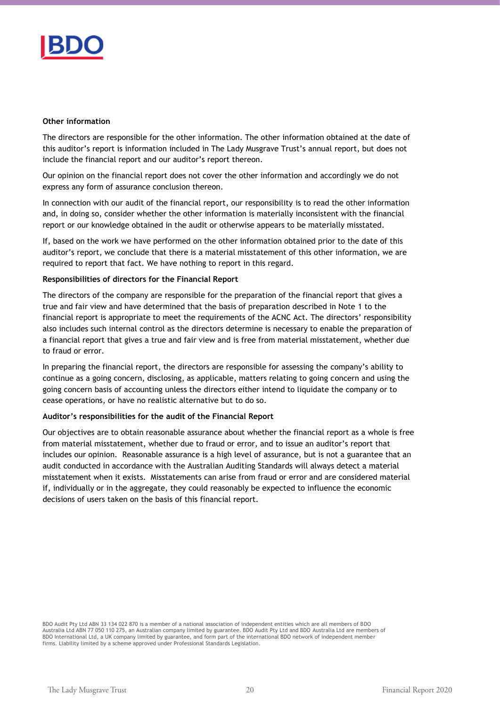

#### **Other information**

The directors are responsible for the other information. The other information obtained at the date of this auditor's report is information included in The Lady Musgrave Trust's annual report, but does not include the financial report and our auditor's report thereon.

Our opinion on the financial report does not cover the other information and accordingly we do not express any form of assurance conclusion thereon.

In connection with our audit of the financial report, our responsibility is to read the other information and, in doing so, consider whether the other information is materially inconsistent with the financial report or our knowledge obtained in the audit or otherwise appears to be materially misstated.

If, based on the work we have performed on the other information obtained prior to the date of this auditor's report, we conclude that there is a material misstatement of this other information, we are required to report that fact. We have nothing to report in this regard.

#### **Responsibilities of directors for the Financial Report**

The directors of the company are responsible for the preparation of the financial report that gives a true and fair view and have determined that the basis of preparation described in Note 1 to the financial report is appropriate to meet the requirements of the ACNC Act. The directors' responsibility also includes such internal control as the directors determine is necessary to enable the preparation of a financial report that gives a true and fair view and is free from material misstatement, whether due to fraud or error.

In preparing the financial report, the directors are responsible for assessing the company's ability to continue as a going concern, disclosing, as applicable, matters relating to going concern and using the going concern basis of accounting unless the directors either intend to liquidate the company or to cease operations, or have no realistic alternative but to do so.

#### **Auditor's responsibilities for the audit of the Financial Report**

Our objectives are to obtain reasonable assurance about whether the financial report as a whole is free from material misstatement, whether due to fraud or error, and to issue an auditor's report that includes our opinion. Reasonable assurance is a high level of assurance, but is not a guarantee that an audit conducted in accordance with the Australian Auditing Standards will always detect a material misstatement when it exists. Misstatements can arise from fraud or error and are considered material if, individually or in the aggregate, they could reasonably be expected to influence the economic decisions of users taken on the basis of this financial report.

BDO Audit Pty Ltd ABN 33 134 022 870 is a member of a national association of independent entities which are all members of BDO Australia Ltd ABN 77 050 110 275, an Australian company limited by guarantee. BDO Audit Pty Ltd and BDO Australia Ltd are members of BDO International Ltd, a UK company limited by guarantee, and form part of the international BDO network of independent member<br>firms. Liability limited by a scheme approved under Professional Standards Legislation.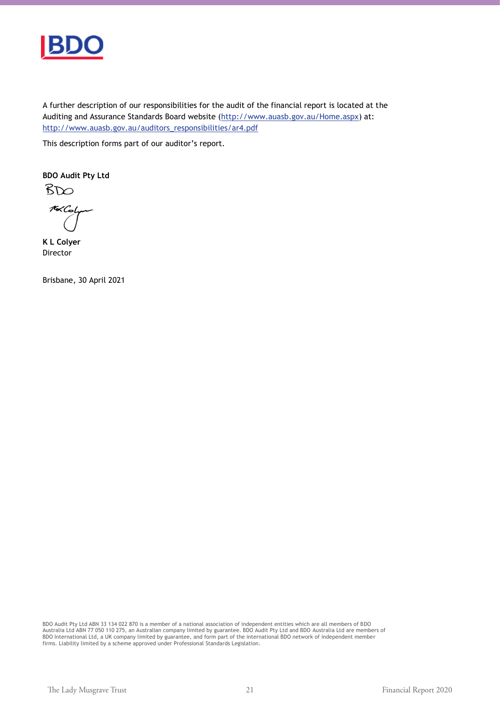

A further description of our responsibilities for the audit of the financial report is located at the Auditing and Assurance Standards Board website (http://www.auasb.gov.au/Home.aspx) at: http://www.auasb.gov.au/auditors\_responsibilities/ar4.pdf

This description forms part of our auditor's report.

**BDO Audit Pty Ltd**

 $B\infty$ 16 Color

**K L Colyer** Director

Brisbane, 30 April 2021

BDO Audit Pty Ltd ABN 33 134 022 870 is a member of a national association of independent entities which are all members of BDO Australia Ltd ABN 77 050 110 275, an Australian company limited by guarantee. BDO Audit Pty Ltd and BDO Australia Ltd are members of<br>BDO International Ltd, a UK company limited by guarantee, and form part of the internatio